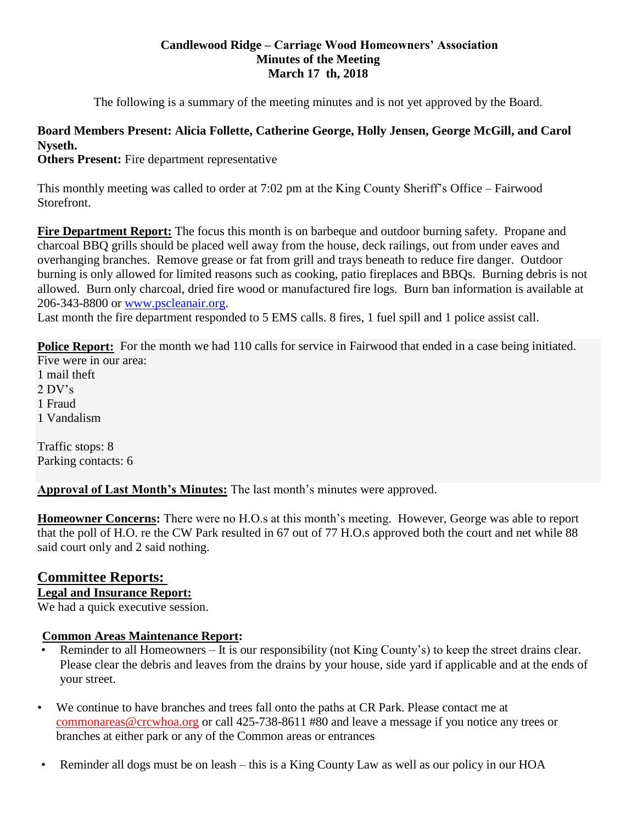#### **Candlewood Ridge – Carriage Wood Homeowners' Association Minutes of the Meeting March 17 th, 2018**

The following is a summary of the meeting minutes and is not yet approved by the Board.

## **Board Members Present: Alicia Follette, Catherine George, Holly Jensen, George McGill, and Carol Nyseth.**

**Others Present:** Fire department representative

This monthly meeting was called to order at 7:02 pm at the King County Sheriff's Office – Fairwood Storefront.

**Fire Department Report:** The focus this month is on barbeque and outdoor burning safety. Propane and charcoal BBQ grills should be placed well away from the house, deck railings, out from under eaves and overhanging branches. Remove grease or fat from grill and trays beneath to reduce fire danger. Outdoor burning is only allowed for limited reasons such as cooking, patio fireplaces and BBQs. Burning debris is not allowed. Burn only charcoal, dried fire wood or manufactured fire logs. Burn ban information is available at 206-343-8800 or [www.pscleanair.org.](http://www.pscleanair.org/)

Last month the fire department responded to 5 EMS calls. 8 fires, 1 fuel spill and 1 police assist call.

**Police Report:** For the month we had 110 calls for service in Fairwood that ended in a case being initiated. Five were in our area:

1 mail theft 2 DV's 1 Fraud 1 Vandalism

Traffic stops: 8 Parking contacts: 6

**Approval of Last Month's Minutes:** The last month's minutes were approved.

**Homeowner Concerns:** There were no H.O.s at this month's meeting. However, George was able to report that the poll of H.O. re the CW Park resulted in 67 out of 77 H.O.s approved both the court and net while 88 said court only and 2 said nothing.

# **Committee Reports:**

# **Legal and Insurance Report:**

We had a quick executive session.

#### **Common Areas Maintenance Report:**

- Reminder to all Homeowners It is our responsibility (not King County's) to keep the street drains clear. Please clear the debris and leaves from the drains by your house, side yard if applicable and at the ends of your street.
- We continue to have branches and trees fall onto the paths at CR Park. Please contact me at [commonareas@crcwhoa.org](mailto:commonareas@crcwhoa.org) or call 425-738-8611 #80 and leave a message if you notice any trees or branches at either park or any of the Common areas or entrances
- Reminder all dogs must be on leash this is a King County Law as well as our policy in our HOA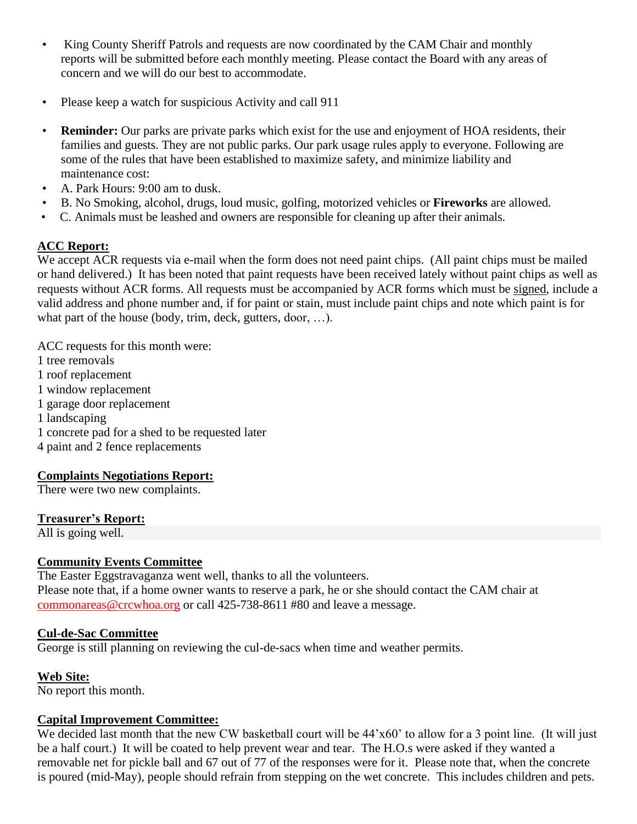- King County Sheriff Patrols and requests are now coordinated by the CAM Chair and monthly reports will be submitted before each monthly meeting. Please contact the Board with any areas of concern and we will do our best to accommodate.
- Please keep a watch for suspicious Activity and call 911
- **Reminder:** Our parks are private parks which exist for the use and enjoyment of HOA residents, their families and guests. They are not public parks. Our park usage rules apply to everyone. Following are some of the rules that have been established to maximize safety, and minimize liability and maintenance cost:
- A. Park Hours: 9:00 am to dusk.
- B. No Smoking, alcohol, drugs, loud music, golfing, motorized vehicles or **Fireworks** are allowed.
- C. Animals must be leashed and owners are responsible for cleaning up after their animals.

### **ACC Report:**

We accept ACR requests via e-mail when the form does not need paint chips. (All paint chips must be mailed or hand delivered.) It has been noted that paint requests have been received lately without paint chips as well as requests without ACR forms. All requests must be accompanied by ACR forms which must be signed, include a valid address and phone number and, if for paint or stain, must include paint chips and note which paint is for what part of the house (body, trim, deck, gutters, door, ...).

ACC requests for this month were: 1 tree removals 1 roof replacement 1 window replacement 1 garage door replacement 1 landscaping 1 concrete pad for a shed to be requested later 4 paint and 2 fence replacements

#### **Complaints Negotiations Report:**

There were two new complaints.

#### **Treasurer's Report:**

All is going well.

#### **Community Events Committee**

The Easter Eggstravaganza went well, thanks to all the volunteers.

Please note that, if a home owner wants to reserve a park, he or she should contact the CAM chair at [commonareas@crcwhoa.org](mailto:commonareas@crcwhoa.org) or call 425-738-8611 #80 and leave a message.

#### **Cul-de-Sac Committee**

George is still planning on reviewing the cul-de-sacs when time and weather permits.

#### **Web Site:**

No report this month.

#### **Capital Improvement Committee:**

We decided last month that the new CW basketball court will be  $44'x60'$  to allow for a 3 point line. (It will just be a half court.) It will be coated to help prevent wear and tear. The H.O.s were asked if they wanted a removable net for pickle ball and 67 out of 77 of the responses were for it. Please note that, when the concrete is poured (mid-May), people should refrain from stepping on the wet concrete. This includes children and pets.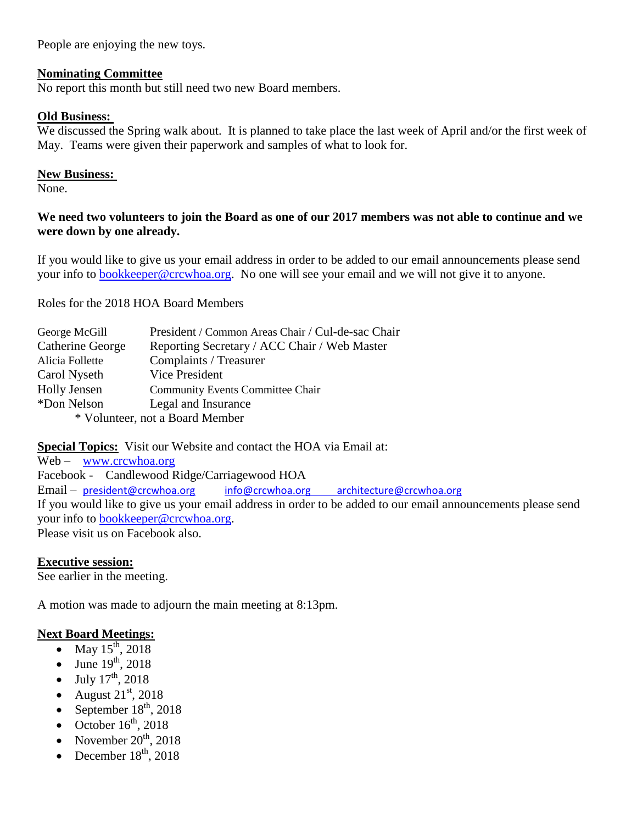People are enjoying the new toys.

#### **Nominating Committee**

No report this month but still need two new Board members.

#### **Old Business:**

We discussed the Spring walk about. It is planned to take place the last week of April and/or the first week of May. Teams were given their paperwork and samples of what to look for.

#### **New Business:**

None.

#### **We need two volunteers to join the Board as one of our 2017 members was not able to continue and we were down by one already.**

If you would like to give us your email address in order to be added to our email announcements please send your info to [bookkeeper@crcwhoa.org.](mailto:bookkeeper@crcwhoa.org) No one will see your email and we will not give it to anyone.

Roles for the 2018 HOA Board Members

| President / Common Areas Chair / Cul-de-sac Chair |  |
|---------------------------------------------------|--|
| Reporting Secretary / ACC Chair / Web Master      |  |
| Complaints / Treasurer                            |  |
| Vice President                                    |  |
| <b>Community Events Committee Chair</b>           |  |
| Legal and Insurance                               |  |
| * Volunteer, not a Board Member                   |  |
|                                                   |  |

**Special Topics:** Visit our Website and contact the HOA via Email at:

Web – [www.crcwhoa.org](http://www.crcwhoa.org/) Facebook - Candlewood Ridge/Carriagewood HOA Email – [president@crcwhoa.org](mailto:president@crcwhoa.org) [info@crcwhoa.org](mailto:info@crcwhoa.org) [architecture@crcwhoa.org](mailto:architecture@crcwhoa.org) If you would like to give us your email address in order to be added to our email announcements please send your info to [bookkeeper@crcwhoa.org.](mailto:bookkeeper@crcwhoa.org) Please visit us on Facebook also.

#### **Executive session:**

See earlier in the meeting.

A motion was made to adjourn the main meeting at 8:13pm.

#### **Next Board Meetings:**

- May  $15^{th}$ , 2018
- $\bullet$  June 19<sup>th</sup>, 2018
- $\bullet$  July  $17^{\text{th}}$ , 2018
- August  $21<sup>st</sup>$ , 2018
- September  $18<sup>th</sup>$ , 2018
- October  $16<sup>th</sup>$ , 2018
- November  $20^{th}$ , 2018
- December  $18^{th}$ , 2018